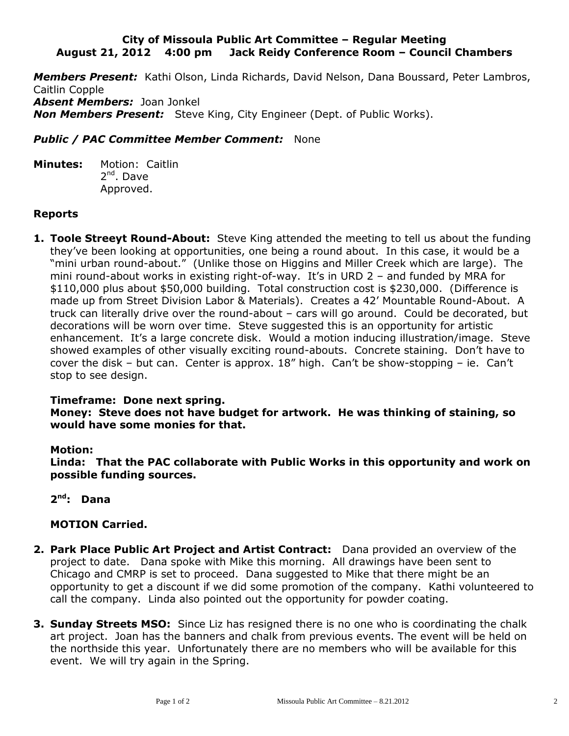### **City of Missoula Public Art Committee – Regular Meeting August 21, 2012 4:00 pm Jack Reidy Conference Room – Council Chambers**

*Members Present:* Kathi Olson, Linda Richards, David Nelson, Dana Boussard, Peter Lambros, Caitlin Copple *Absent Members:* Joan Jonkel *Non Members Present:* Steve King, City Engineer (Dept. of Public Works).

# *Public / PAC Committee Member Comment:* None

**Minutes:** Motion: Caitlin 2<sup>nd</sup>. Dave Approved.

# **Reports**

**1. Toole Streeyt Round-About:** Steve King attended the meeting to tell us about the funding they've been looking at opportunities, one being a round about. In this case, it would be a "mini urban round-about." (Unlike those on Higgins and Miller Creek which are large). The mini round-about works in existing right-of-way. It's in URD 2 – and funded by MRA for \$110,000 plus about \$50,000 building. Total construction cost is \$230,000. (Difference is made up from Street Division Labor & Materials). Creates a 42' Mountable Round-About. A truck can literally drive over the round-about – cars will go around. Could be decorated, but decorations will be worn over time. Steve suggested this is an opportunity for artistic enhancement. It's a large concrete disk. Would a motion inducing illustration/image. Steve showed examples of other visually exciting round-abouts. Concrete staining. Don't have to cover the disk – but can. Center is approx. 18" high. Can't be show-stopping – ie. Can't stop to see design.

## **Timeframe: Done next spring.**

**Money: Steve does not have budget for artwork. He was thinking of staining, so would have some monies for that.**

## **Motion:**

**Linda: That the PAC collaborate with Public Works in this opportunity and work on possible funding sources.**

**2 nd: Dana**

## **MOTION Carried.**

- **2. Park Place Public Art Project and Artist Contract:** Dana provided an overview of the project to date. Dana spoke with Mike this morning. All drawings have been sent to Chicago and CMRP is set to proceed. Dana suggested to Mike that there might be an opportunity to get a discount if we did some promotion of the company. Kathi volunteered to call the company. Linda also pointed out the opportunity for powder coating.
- **3. Sunday Streets MSO:** Since Liz has resigned there is no one who is coordinating the chalk art project. Joan has the banners and chalk from previous events. The event will be held on the northside this year. Unfortunately there are no members who will be available for this event. We will try again in the Spring.